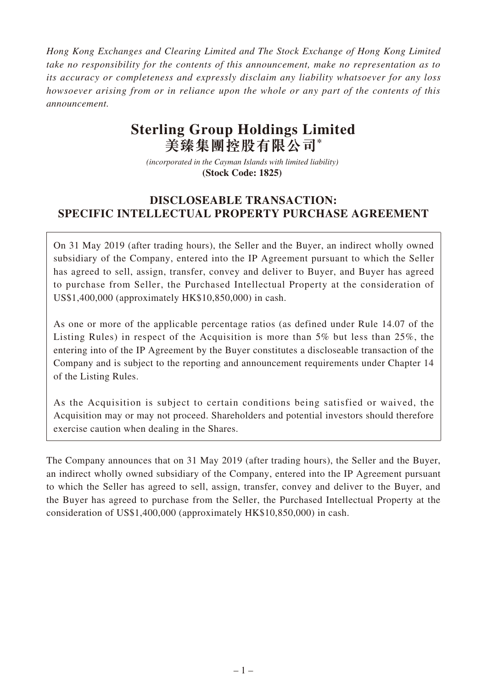*Hong Kong Exchanges and Clearing Limited and The Stock Exchange of Hong Kong Limited take no responsibility for the contents of this announcement, make no representation as to its accuracy or completeness and expressly disclaim any liability whatsoever for any loss howsoever arising from or in reliance upon the whole or any part of the contents of this announcement.*

# **Sterling Group Holdings Limited 美臻集團控股有限公司\***

*(incorporated in the Cayman Islands with limited liability)*  **(Stock Code: 1825)** 

# **DISCLOSEABLE TRANSACTION: SPECIFIC INTELLECTUAL PROPERTY PURCHASE AGREEMENT**

On 31 May 2019 (after trading hours), the Seller and the Buyer, an indirect wholly owned subsidiary of the Company, entered into the IP Agreement pursuant to which the Seller has agreed to sell, assign, transfer, convey and deliver to Buyer, and Buyer has agreed to purchase from Seller, the Purchased Intellectual Property at the consideration of US\$1,400,000 (approximately HK\$10,850,000) in cash.

As one or more of the applicable percentage ratios (as defined under Rule 14.07 of the Listing Rules) in respect of the Acquisition is more than 5% but less than 25%, the entering into of the IP Agreement by the Buyer constitutes a discloseable transaction of the Company and is subject to the reporting and announcement requirements under Chapter 14 of the Listing Rules.

As the Acquisition is subject to certain conditions being satisfied or waived, the Acquisition may or may not proceed. Shareholders and potential investors should therefore exercise caution when dealing in the Shares.

The Company announces that on 31 May 2019 (after trading hours), the Seller and the Buyer, an indirect wholly owned subsidiary of the Company, entered into the IP Agreement pursuant to which the Seller has agreed to sell, assign, transfer, convey and deliver to the Buyer, and the Buyer has agreed to purchase from the Seller, the Purchased Intellectual Property at the consideration of US\$1,400,000 (approximately HK\$10,850,000) in cash.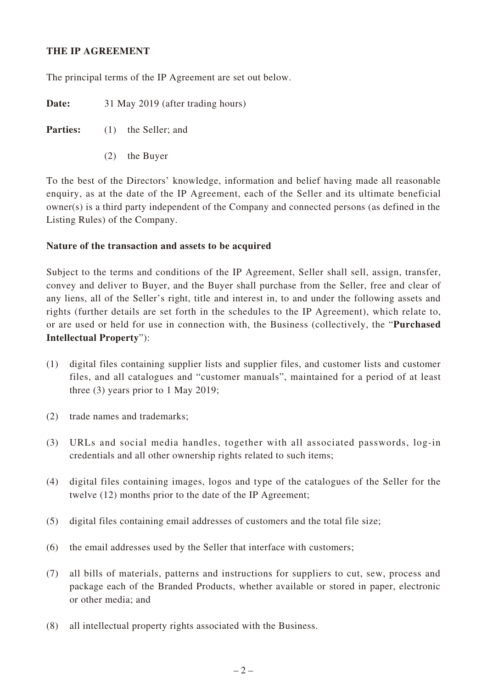#### **THE IP AGREEMENT**

The principal terms of the IP Agreement are set out below.

**Date:** 31 May 2019 (after trading hours)

**Parties:** (1) the Seller; and

(2) the Buyer

To the best of the Directors' knowledge, information and belief having made all reasonable enquiry, as at the date of the IP Agreement, each of the Seller and its ultimate beneficial owner(s) is a third party independent of the Company and connected persons (as defined in the Listing Rules) of the Company.

#### **Nature of the transaction and assets to be acquired**

Subject to the terms and conditions of the IP Agreement, Seller shall sell, assign, transfer, convey and deliver to Buyer, and the Buyer shall purchase from the Seller, free and clear of any liens, all of the Seller's right, title and interest in, to and under the following assets and rights (further details are set forth in the schedules to the IP Agreement), which relate to, or are used or held for use in connection with, the Business (collectively, the "**Purchased Intellectual Property**"):

- (1) digital files containing supplier lists and supplier files, and customer lists and customer files, and all catalogues and "customer manuals", maintained for a period of at least three (3) years prior to 1 May 2019;
- (2) trade names and trademarks;
- (3) URLs and social media handles, together with all associated passwords, log-in credentials and all other ownership rights related to such items;
- (4) digital files containing images, logos and type of the catalogues of the Seller for the twelve (12) months prior to the date of the IP Agreement;
- (5) digital files containing email addresses of customers and the total file size;
- (6) the email addresses used by the Seller that interface with customers;
- (7) all bills of materials, patterns and instructions for suppliers to cut, sew, process and package each of the Branded Products, whether available or stored in paper, electronic or other media; and
- (8) all intellectual property rights associated with the Business.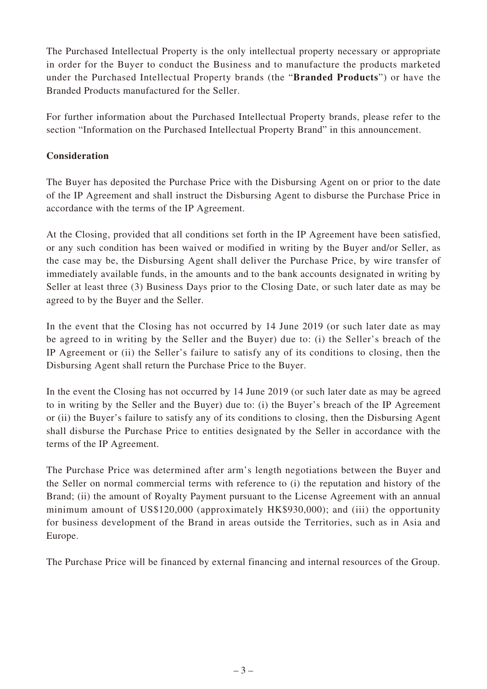The Purchased Intellectual Property is the only intellectual property necessary or appropriate in order for the Buyer to conduct the Business and to manufacture the products marketed under the Purchased Intellectual Property brands (the "**Branded Products**") or have the Branded Products manufactured for the Seller.

For further information about the Purchased Intellectual Property brands, please refer to the section "Information on the Purchased Intellectual Property Brand" in this announcement.

## **Consideration**

The Buyer has deposited the Purchase Price with the Disbursing Agent on or prior to the date of the IP Agreement and shall instruct the Disbursing Agent to disburse the Purchase Price in accordance with the terms of the IP Agreement.

At the Closing, provided that all conditions set forth in the IP Agreement have been satisfied, or any such condition has been waived or modified in writing by the Buyer and/or Seller, as the case may be, the Disbursing Agent shall deliver the Purchase Price, by wire transfer of immediately available funds, in the amounts and to the bank accounts designated in writing by Seller at least three (3) Business Days prior to the Closing Date, or such later date as may be agreed to by the Buyer and the Seller.

In the event that the Closing has not occurred by 14 June 2019 (or such later date as may be agreed to in writing by the Seller and the Buyer) due to: (i) the Seller's breach of the IP Agreement or (ii) the Seller's failure to satisfy any of its conditions to closing, then the Disbursing Agent shall return the Purchase Price to the Buyer.

In the event the Closing has not occurred by 14 June 2019 (or such later date as may be agreed to in writing by the Seller and the Buyer) due to: (i) the Buyer's breach of the IP Agreement or (ii) the Buyer's failure to satisfy any of its conditions to closing, then the Disbursing Agent shall disburse the Purchase Price to entities designated by the Seller in accordance with the terms of the IP Agreement.

The Purchase Price was determined after arm's length negotiations between the Buyer and the Seller on normal commercial terms with reference to (i) the reputation and history of the Brand; (ii) the amount of Royalty Payment pursuant to the License Agreement with an annual minimum amount of US\$120,000 (approximately HK\$930,000); and (iii) the opportunity for business development of the Brand in areas outside the Territories, such as in Asia and Europe.

The Purchase Price will be financed by external financing and internal resources of the Group.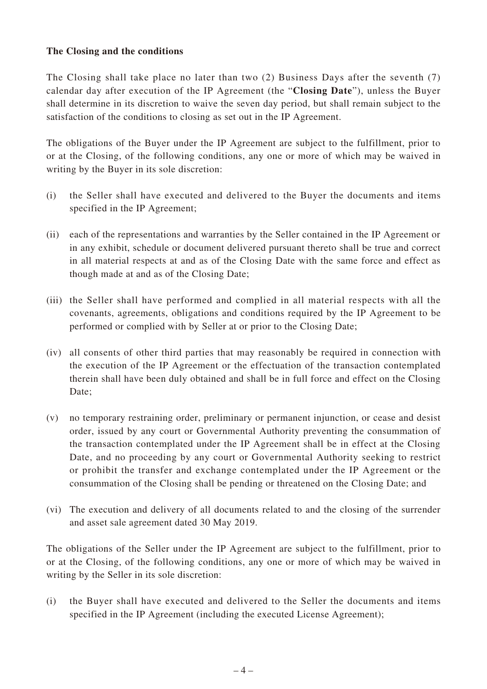#### **The Closing and the conditions**

The Closing shall take place no later than two (2) Business Days after the seventh (7) calendar day after execution of the IP Agreement (the "**Closing Date**"), unless the Buyer shall determine in its discretion to waive the seven day period, but shall remain subject to the satisfaction of the conditions to closing as set out in the IP Agreement.

The obligations of the Buyer under the IP Agreement are subject to the fulfillment, prior to or at the Closing, of the following conditions, any one or more of which may be waived in writing by the Buyer in its sole discretion:

- (i) the Seller shall have executed and delivered to the Buyer the documents and items specified in the IP Agreement;
- (ii) each of the representations and warranties by the Seller contained in the IP Agreement or in any exhibit, schedule or document delivered pursuant thereto shall be true and correct in all material respects at and as of the Closing Date with the same force and effect as though made at and as of the Closing Date;
- (iii) the Seller shall have performed and complied in all material respects with all the covenants, agreements, obligations and conditions required by the IP Agreement to be performed or complied with by Seller at or prior to the Closing Date;
- (iv) all consents of other third parties that may reasonably be required in connection with the execution of the IP Agreement or the effectuation of the transaction contemplated therein shall have been duly obtained and shall be in full force and effect on the Closing Date;
- (v) no temporary restraining order, preliminary or permanent injunction, or cease and desist order, issued by any court or Governmental Authority preventing the consummation of the transaction contemplated under the IP Agreement shall be in effect at the Closing Date, and no proceeding by any court or Governmental Authority seeking to restrict or prohibit the transfer and exchange contemplated under the IP Agreement or the consummation of the Closing shall be pending or threatened on the Closing Date; and
- (vi) The execution and delivery of all documents related to and the closing of the surrender and asset sale agreement dated 30 May 2019.

The obligations of the Seller under the IP Agreement are subject to the fulfillment, prior to or at the Closing, of the following conditions, any one or more of which may be waived in writing by the Seller in its sole discretion:

(i) the Buyer shall have executed and delivered to the Seller the documents and items specified in the IP Agreement (including the executed License Agreement);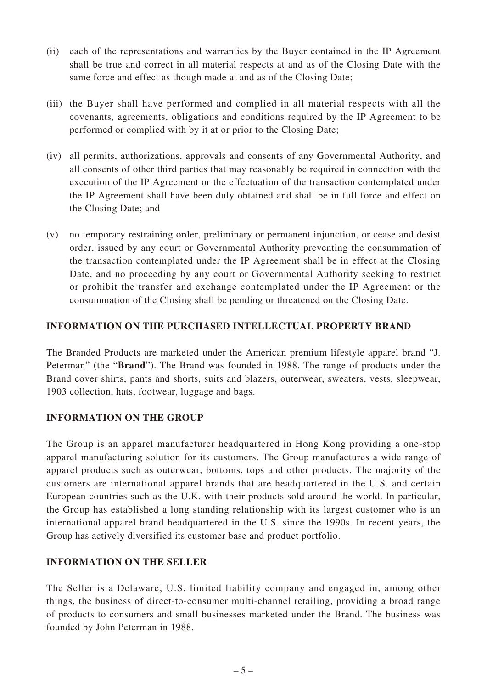- (ii) each of the representations and warranties by the Buyer contained in the IP Agreement shall be true and correct in all material respects at and as of the Closing Date with the same force and effect as though made at and as of the Closing Date;
- (iii) the Buyer shall have performed and complied in all material respects with all the covenants, agreements, obligations and conditions required by the IP Agreement to be performed or complied with by it at or prior to the Closing Date;
- (iv) all permits, authorizations, approvals and consents of any Governmental Authority, and all consents of other third parties that may reasonably be required in connection with the execution of the IP Agreement or the effectuation of the transaction contemplated under the IP Agreement shall have been duly obtained and shall be in full force and effect on the Closing Date; and
- (v) no temporary restraining order, preliminary or permanent injunction, or cease and desist order, issued by any court or Governmental Authority preventing the consummation of the transaction contemplated under the IP Agreement shall be in effect at the Closing Date, and no proceeding by any court or Governmental Authority seeking to restrict or prohibit the transfer and exchange contemplated under the IP Agreement or the consummation of the Closing shall be pending or threatened on the Closing Date.

#### **INFORMATION ON THE PURCHASED INTELLECTUAL PROPERTY BRAND**

The Branded Products are marketed under the American premium lifestyle apparel brand "J. Peterman" (the "**Brand**"). The Brand was founded in 1988. The range of products under the Brand cover shirts, pants and shorts, suits and blazers, outerwear, sweaters, vests, sleepwear, 1903 collection, hats, footwear, luggage and bags.

#### **INFORMATION ON THE GROUP**

The Group is an apparel manufacturer headquartered in Hong Kong providing a one-stop apparel manufacturing solution for its customers. The Group manufactures a wide range of apparel products such as outerwear, bottoms, tops and other products. The majority of the customers are international apparel brands that are headquartered in the U.S. and certain European countries such as the U.K. with their products sold around the world. In particular, the Group has established a long standing relationship with its largest customer who is an international apparel brand headquartered in the U.S. since the 1990s. In recent years, the Group has actively diversified its customer base and product portfolio.

## **INFORMATION ON THE SELLER**

The Seller is a Delaware, U.S. limited liability company and engaged in, among other things, the business of direct-to-consumer multi-channel retailing, providing a broad range of products to consumers and small businesses marketed under the Brand. The business was founded by John Peterman in 1988.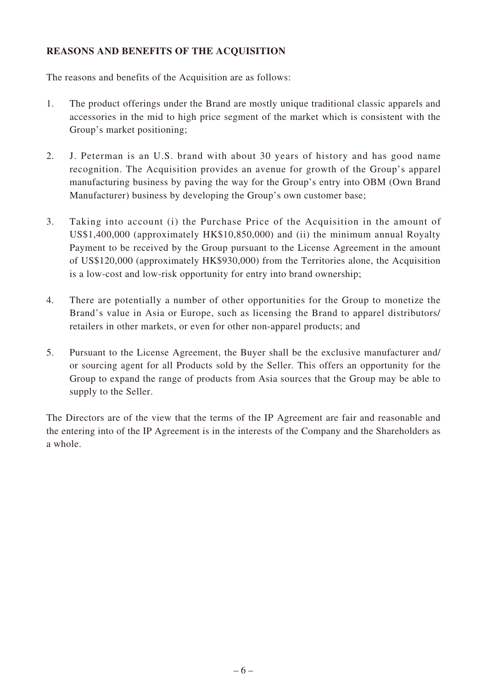## **REASONS AND BENEFITS OF THE ACQUISITION**

The reasons and benefits of the Acquisition are as follows:

- 1. The product offerings under the Brand are mostly unique traditional classic apparels and accessories in the mid to high price segment of the market which is consistent with the Group's market positioning;
- 2. J. Peterman is an U.S. brand with about 30 years of history and has good name recognition. The Acquisition provides an avenue for growth of the Group's apparel manufacturing business by paving the way for the Group's entry into OBM (Own Brand Manufacturer) business by developing the Group's own customer base;
- 3. Taking into account (i) the Purchase Price of the Acquisition in the amount of US\$1,400,000 (approximately HK\$10,850,000) and (ii) the minimum annual Royalty Payment to be received by the Group pursuant to the License Agreement in the amount of US\$120,000 (approximately HK\$930,000) from the Territories alone, the Acquisition is a low-cost and low-risk opportunity for entry into brand ownership;
- 4. There are potentially a number of other opportunities for the Group to monetize the Brand's value in Asia or Europe, such as licensing the Brand to apparel distributors/ retailers in other markets, or even for other non-apparel products; and
- 5. Pursuant to the License Agreement, the Buyer shall be the exclusive manufacturer and/ or sourcing agent for all Products sold by the Seller. This offers an opportunity for the Group to expand the range of products from Asia sources that the Group may be able to supply to the Seller.

The Directors are of the view that the terms of the IP Agreement are fair and reasonable and the entering into of the IP Agreement is in the interests of the Company and the Shareholders as a whole.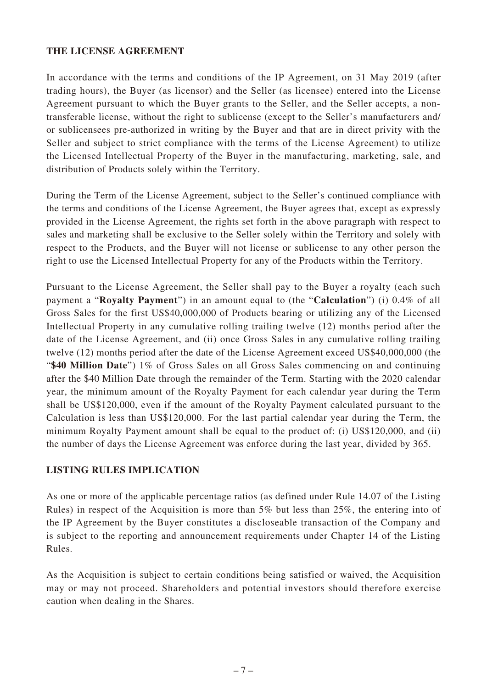#### **THE LICENSE AGREEMENT**

In accordance with the terms and conditions of the IP Agreement, on 31 May 2019 (after trading hours), the Buyer (as licensor) and the Seller (as licensee) entered into the License Agreement pursuant to which the Buyer grants to the Seller, and the Seller accepts, a nontransferable license, without the right to sublicense (except to the Seller's manufacturers and/ or sublicensees pre-authorized in writing by the Buyer and that are in direct privity with the Seller and subject to strict compliance with the terms of the License Agreement) to utilize the Licensed Intellectual Property of the Buyer in the manufacturing, marketing, sale, and distribution of Products solely within the Territory.

During the Term of the License Agreement, subject to the Seller's continued compliance with the terms and conditions of the License Agreement, the Buyer agrees that, except as expressly provided in the License Agreement, the rights set forth in the above paragraph with respect to sales and marketing shall be exclusive to the Seller solely within the Territory and solely with respect to the Products, and the Buyer will not license or sublicense to any other person the right to use the Licensed Intellectual Property for any of the Products within the Territory.

Pursuant to the License Agreement, the Seller shall pay to the Buyer a royalty (each such payment a "**Royalty Payment**") in an amount equal to (the "**Calculation**") (i) 0.4% of all Gross Sales for the first US\$40,000,000 of Products bearing or utilizing any of the Licensed Intellectual Property in any cumulative rolling trailing twelve (12) months period after the date of the License Agreement, and (ii) once Gross Sales in any cumulative rolling trailing twelve (12) months period after the date of the License Agreement exceed US\$40,000,000 (the "**\$40 Million Date**") 1% of Gross Sales on all Gross Sales commencing on and continuing after the \$40 Million Date through the remainder of the Term. Starting with the 2020 calendar year, the minimum amount of the Royalty Payment for each calendar year during the Term shall be US\$120,000, even if the amount of the Royalty Payment calculated pursuant to the Calculation is less than US\$120,000. For the last partial calendar year during the Term, the minimum Royalty Payment amount shall be equal to the product of: (i) US\$120,000, and (ii) the number of days the License Agreement was enforce during the last year, divided by 365.

#### **LISTING RULES IMPLICATION**

As one or more of the applicable percentage ratios (as defined under Rule 14.07 of the Listing Rules) in respect of the Acquisition is more than 5% but less than 25%, the entering into of the IP Agreement by the Buyer constitutes a discloseable transaction of the Company and is subject to the reporting and announcement requirements under Chapter 14 of the Listing Rules.

As the Acquisition is subject to certain conditions being satisfied or waived, the Acquisition may or may not proceed. Shareholders and potential investors should therefore exercise caution when dealing in the Shares.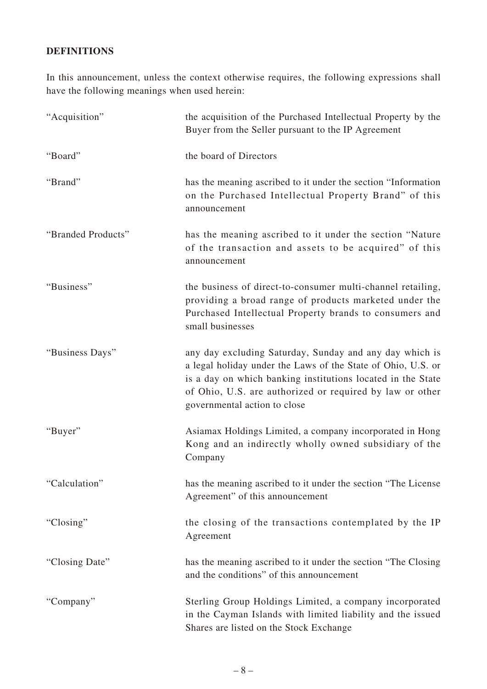# **DEFINITIONS**

In this announcement, unless the context otherwise requires, the following expressions shall have the following meanings when used herein:

| "Acquisition"      | the acquisition of the Purchased Intellectual Property by the<br>Buyer from the Seller pursuant to the IP Agreement                                                                                                                                                                |
|--------------------|------------------------------------------------------------------------------------------------------------------------------------------------------------------------------------------------------------------------------------------------------------------------------------|
| "Board"            | the board of Directors                                                                                                                                                                                                                                                             |
| "Brand"            | has the meaning ascribed to it under the section "Information"<br>on the Purchased Intellectual Property Brand" of this<br>announcement                                                                                                                                            |
| "Branded Products" | has the meaning ascribed to it under the section "Nature"<br>of the transaction and assets to be acquired" of this<br>announcement                                                                                                                                                 |
| "Business"         | the business of direct-to-consumer multi-channel retailing,<br>providing a broad range of products marketed under the<br>Purchased Intellectual Property brands to consumers and<br>small businesses                                                                               |
| "Business Days"    | any day excluding Saturday, Sunday and any day which is<br>a legal holiday under the Laws of the State of Ohio, U.S. or<br>is a day on which banking institutions located in the State<br>of Ohio, U.S. are authorized or required by law or other<br>governmental action to close |
| "Buyer"            | Asiamax Holdings Limited, a company incorporated in Hong<br>Kong and an indirectly wholly owned subsidiary of the<br>Company                                                                                                                                                       |
| "Calculation"      | has the meaning ascribed to it under the section "The License"<br>Agreement" of this announcement                                                                                                                                                                                  |
| "Closing"          | the closing of the transactions contemplated by the IP<br>Agreement                                                                                                                                                                                                                |
| "Closing Date"     | has the meaning ascribed to it under the section "The Closing"<br>and the conditions" of this announcement                                                                                                                                                                         |
| "Company"          | Sterling Group Holdings Limited, a company incorporated<br>in the Cayman Islands with limited liability and the issued<br>Shares are listed on the Stock Exchange                                                                                                                  |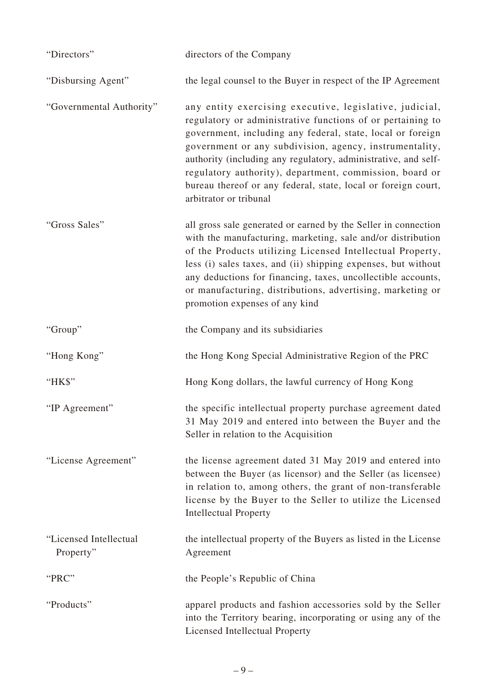| "Directors"                         | directors of the Company                                                                                                                                                                                                                                                                                                                                                                                                                                               |
|-------------------------------------|------------------------------------------------------------------------------------------------------------------------------------------------------------------------------------------------------------------------------------------------------------------------------------------------------------------------------------------------------------------------------------------------------------------------------------------------------------------------|
| "Disbursing Agent"                  | the legal counsel to the Buyer in respect of the IP Agreement                                                                                                                                                                                                                                                                                                                                                                                                          |
| "Governmental Authority"            | any entity exercising executive, legislative, judicial,<br>regulatory or administrative functions of or pertaining to<br>government, including any federal, state, local or foreign<br>government or any subdivision, agency, instrumentality,<br>authority (including any regulatory, administrative, and self-<br>regulatory authority), department, commission, board or<br>bureau thereof or any federal, state, local or foreign court,<br>arbitrator or tribunal |
| "Gross Sales"                       | all gross sale generated or earned by the Seller in connection<br>with the manufacturing, marketing, sale and/or distribution<br>of the Products utilizing Licensed Intellectual Property,<br>less (i) sales taxes, and (ii) shipping expenses, but without<br>any deductions for financing, taxes, uncollectible accounts,<br>or manufacturing, distributions, advertising, marketing or<br>promotion expenses of any kind                                            |
| "Group"                             | the Company and its subsidiaries                                                                                                                                                                                                                                                                                                                                                                                                                                       |
| "Hong Kong"                         | the Hong Kong Special Administrative Region of the PRC                                                                                                                                                                                                                                                                                                                                                                                                                 |
| "HK\$"                              | Hong Kong dollars, the lawful currency of Hong Kong                                                                                                                                                                                                                                                                                                                                                                                                                    |
| "IP Agreement"                      | the specific intellectual property purchase agreement dated<br>31 May 2019 and entered into between the Buyer and the<br>Seller in relation to the Acquisition                                                                                                                                                                                                                                                                                                         |
| "License Agreement"                 | the license agreement dated 31 May 2019 and entered into<br>between the Buyer (as licensor) and the Seller (as licensee)<br>in relation to, among others, the grant of non-transferable<br>license by the Buyer to the Seller to utilize the Licensed<br><b>Intellectual Property</b>                                                                                                                                                                                  |
| "Licensed Intellectual<br>Property" | the intellectual property of the Buyers as listed in the License<br>Agreement                                                                                                                                                                                                                                                                                                                                                                                          |
| "PRC"                               | the People's Republic of China                                                                                                                                                                                                                                                                                                                                                                                                                                         |
| "Products"                          | apparel products and fashion accessories sold by the Seller<br>into the Territory bearing, incorporating or using any of the<br>Licensed Intellectual Property                                                                                                                                                                                                                                                                                                         |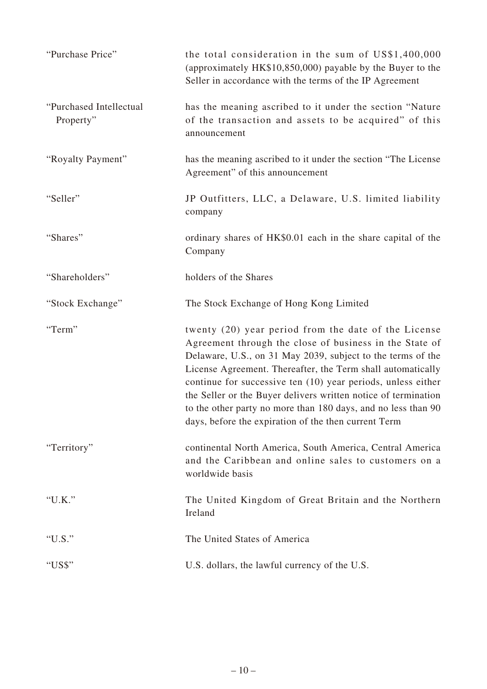| "Purchase Price"                     | the total consideration in the sum of US\$1,400,000<br>(approximately HK\$10,850,000) payable by the Buyer to the<br>Seller in accordance with the terms of the IP Agreement                                                                                                                                                                                                          |
|--------------------------------------|---------------------------------------------------------------------------------------------------------------------------------------------------------------------------------------------------------------------------------------------------------------------------------------------------------------------------------------------------------------------------------------|
| "Purchased Intellectual<br>Property" | has the meaning ascribed to it under the section "Nature"<br>of the transaction and assets to be acquired" of this<br>announcement                                                                                                                                                                                                                                                    |
| "Royalty Payment"                    | has the meaning ascribed to it under the section "The License"<br>Agreement" of this announcement                                                                                                                                                                                                                                                                                     |
| "Seller"                             | JP Outfitters, LLC, a Delaware, U.S. limited liability<br>company                                                                                                                                                                                                                                                                                                                     |
| "Shares"                             | ordinary shares of HK\$0.01 each in the share capital of the<br>Company                                                                                                                                                                                                                                                                                                               |
| "Shareholders"                       | holders of the Shares                                                                                                                                                                                                                                                                                                                                                                 |
| "Stock Exchange"                     | The Stock Exchange of Hong Kong Limited                                                                                                                                                                                                                                                                                                                                               |
| "Term"                               | twenty (20) year period from the date of the License<br>Agreement through the close of business in the State of                                                                                                                                                                                                                                                                       |
|                                      | Delaware, U.S., on 31 May 2039, subject to the terms of the<br>License Agreement. Thereafter, the Term shall automatically<br>continue for successive ten (10) year periods, unless either<br>the Seller or the Buyer delivers written notice of termination<br>to the other party no more than 180 days, and no less than 90<br>days, before the expiration of the then current Term |
| "Territory"                          | continental North America, South America, Central America<br>and the Caribbean and online sales to customers on a<br>worldwide basis                                                                                                                                                                                                                                                  |
| "U.K."                               | The United Kingdom of Great Britain and the Northern<br>Ireland                                                                                                                                                                                                                                                                                                                       |
| "U.S."                               | The United States of America                                                                                                                                                                                                                                                                                                                                                          |